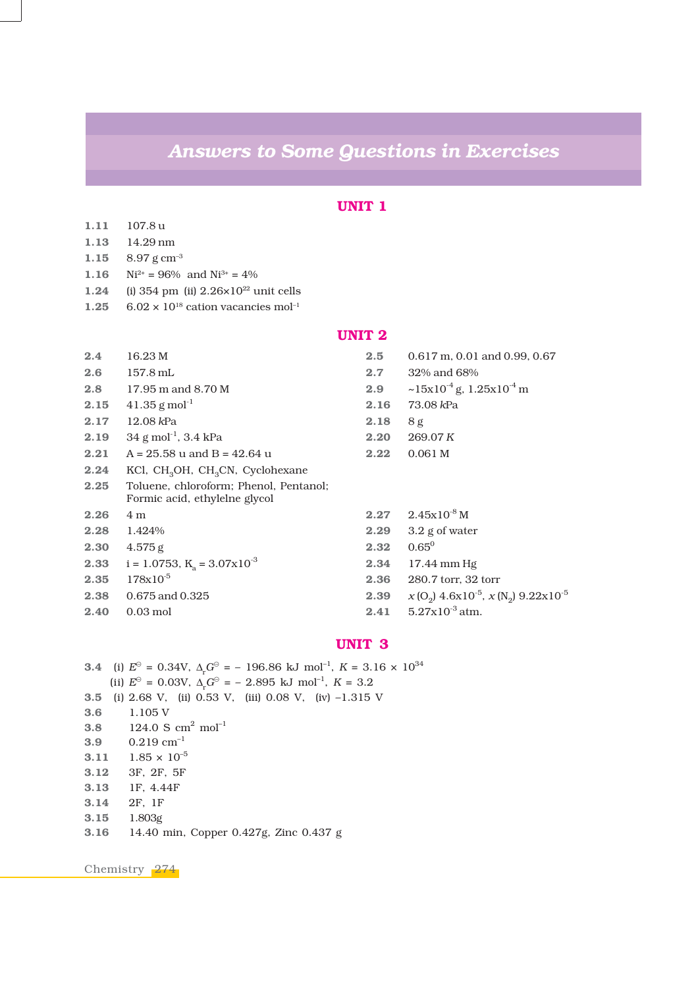# *Answers to Some Questions in Exercises*

# **UNIT 1**

- **1.11** 107.8 u **1.13** 14.29 nm
- **1.15** 8.97 g cm–3
- **1.16**  $Ni^{2+} = 96\%$  and  $Ni^{3+} = 4\%$
- **1.24** (i) 354 pm (ii) 2.26×10<sup>22</sup> unit cells
- **1.25** 6.02  $\times$  10<sup>18</sup> cation vacancies mol<sup>-1</sup>

# **UNIT 2**

| 2.4  | 16.23 M                                                                 | 2.5  | $0.617$ m, $0.01$ and $0.99$ , $0.67$                                                    |
|------|-------------------------------------------------------------------------|------|------------------------------------------------------------------------------------------|
| 2.6  | $157.8 \,\mathrm{mL}$                                                   | 2.7  | 32\% and 68\%                                                                            |
| 2.8  | 17.95 m and 8.70 M                                                      | 2.9  | $\sim$ 15x10 <sup>-4</sup> g, 1.25x10 <sup>-4</sup> m                                    |
| 2.15 | $41.35$ g mol <sup>-1</sup>                                             | 2.16 | 73.08 kPa                                                                                |
| 2.17 | $12.08$ kPa                                                             | 2.18 | 8g                                                                                       |
| 2.19 | $34 \text{ g mol}^{-1}$ , $3.4 \text{ kPa}$                             | 2.20 | 269.07 K                                                                                 |
| 2.21 | $A = 25.58$ u and B = 42.64 u                                           | 2.22 | 0.061 <sub>M</sub>                                                                       |
| 2.24 | KCl, CH <sub>3</sub> OH, CH <sub>3</sub> CN, Cyclohexane                |      |                                                                                          |
| 2.25 | Toluene, chloroform; Phenol, Pentanol;<br>Formic acid, ethylelne glycol |      |                                                                                          |
| 2.26 | 4 m                                                                     | 2.27 | $2.45x10^{-8}$ M                                                                         |
| 2.28 | 1.424%                                                                  | 2.29 | $3.2$ g of water                                                                         |
| 2.30 | 4.575 g                                                                 | 2.32 | $0.65^0$                                                                                 |
| 2.33 | $i = 1.0753$ , $K_a = 3.07x10^{-3}$                                     | 2.34 | $17.44$ mm Hg                                                                            |
| 2.35 | $178x10^{-5}$                                                           | 2.36 | 280.7 torr, 32 torr                                                                      |
| 2.38 | 0.675 and 0.325                                                         | 2.39 | $x$ (O <sub>2</sub> ) 4.6x10 <sup>-5</sup> , $x$ (N <sub>2</sub> ) 9.22x10 <sup>-5</sup> |
| 2.40 | $0.03 \text{ mol}$                                                      | 2.41 | $5.27x10^{-3}$ atm.                                                                      |

# **UNIT 3**

**3.4** (i)  $E^{\circ} = 0.34V$ ,  $\Delta_{r}G^{\circ} = -196.86$  kJ mol<sup>-1</sup>,  $K = 3.16 \times 10^{34}$ (ii)  $E^{\odot} = 0.03 \text{V}$ ,  $\Delta_{\text{r}} G^{\odot} = -2.895 \text{ kJ} \text{ mol}^{-1}$ ,  $K = 3.2$ **3.5** (i) 2.68 V, (ii) 0.53 V, (iii) 0.08 V, (iv) –1.315 V **3.6** 1.105 V **3.8** 124.0 S  $cm^2$  mol<sup>-1</sup> **3.9** 0.219 cm–1 **3.11**  $1.85 \times 10^{-5}$ **3.12** 3F, 2F, 5F **3.13** 1F, 4.44F **3.14** 2F, 1F **3.15** 1.803g **3.16** 14.40 min, Copper 0.427g, Zinc 0.437 g

Chemistry 274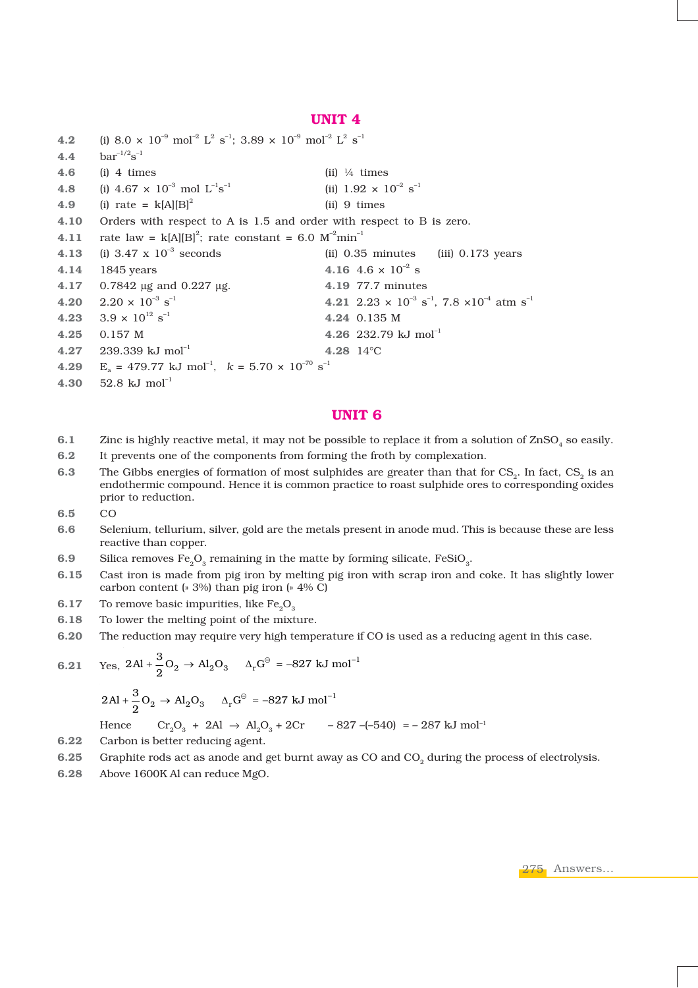## **UNIT 4**

```
4.2 (i) 8.0 \times 10^{-9} mol<sup>-2</sup> L<sup>2</sup> s<sup>-1</sup>; 3.89 \times 10^{-9} mol<sup>-2</sup> L<sup>2</sup> s<sup>-1</sup>
4.4 bar^{-1/2}s^{-1}4.6 (i) 4 times (ii) ¼ times
4.8 (i) 4.67 \times 10^{-3} mol L^{-1}s<sup>-1</sup> (ii) 1.92 \times 10^{-2} s<sup>-1</sup>
4.9 (i) rate = k[A][B]^2 (ii) 9 times
4.10 Orders with respect to A is 1.5 and order with respect to B is zero.
4.11 rate law = k[A][B]^2; rate constant = 6.0 M^{-2}min^{-1}4.13 (i) 3.47 x 10–3 seconds (ii) 0.35 minutes (iii) 0.173 years
4.14 1845 years 4.16 4.6 × 10–2 s
4.17 0.7842 μg and 0.227 μg. 4.19 77.7 minutes
4.20 2.20 \times 10<sup>-3</sup> s<sup>-1</sup> 4.21 2.23 \times 10<sup>-3</sup> s<sup>-1</sup>, 7.8 \times 10<sup>-4</sup> atm s<sup>-1</sup>
4.23 3.9 \times 10^{12} \text{ s}^{-1} 4.24 0.135 M
4.25 0.157 M 4.26 232.79 kJ mol–1
4.27 239.339 kJ mol–1 4.28 14°C
4.29 E<sub>2</sub> = 479.77 kJ mol<sup>-1</sup>, k = 5.70 \times 10^{-70} s<sup>-1</sup>
4.30 52.8 kJ mol–1
```
## **UNIT 6**

- **6.1** Zinc is highly reactive metal, it may not be possible to replace it from a solution of ZnSO<sub>4</sub> so easily.
- **6.2** It prevents one of the components from forming the froth by complexation.
- **6.3** The Gibbs energies of formation of most sulphides are greater than that for CS<sub>2</sub>. In fact, CS<sub>2</sub> is an endothermic compound. Hence it is common practice to roast sulphide ores to corresponding oxides prior to reduction.
- **6.5** CO
- **6.6** Selenium, tellurium, silver, gold are the metals present in anode mud. This is because these are less reactive than copper.
- **6.9** Silica removes Fe<sub>0</sub>O<sub>2</sub> remaining in the matte by forming silicate, FeSiO<sub>3</sub>.
- **6.15** Cast iron is made from pig iron by melting pig iron with scrap iron and coke. It has slightly lower carbon content (» 3%) than pig iron (» 4% C)
- **6.17** To remove basic impurities, like Fe<sub>2</sub>O<sub>3</sub>
- **6.18** To lower the melting point of the mixture.
- **6.20** The reduction may require very high temperature if CO is used as a reducing agent in this case.

6.21 Yes, 
$$
2\text{Al} + \frac{3}{2}\text{O}_2 \rightarrow \text{Al}_2\text{O}_3
$$
  $\Delta_r\text{G}^{\ominus} = -827 \text{ kJ mol}^{-1}$   
 $2\text{Al} + \frac{3}{2}\text{O}_2 \rightarrow \text{Al}_2\text{O}_3$   $\Delta_r\text{G}^{\ominus} = -827 \text{ kJ mol}^{-1}$ 

Hence 
$$
Cr_2O_3 + 2Al \rightarrow Al_2O_3 + 2Cr
$$
  $-827 - (-540) = -287 \text{ kJ} \text{ mol}^{-1}$ 

- **6.22** Carbon is better reducing agent.
- **6.25** Graphite rods act as anode and get burnt away as CO and CO<sub>2</sub> during the process of electrolysis.
- **6.28** Above 1600K Al can reduce MgO.

275 Answers...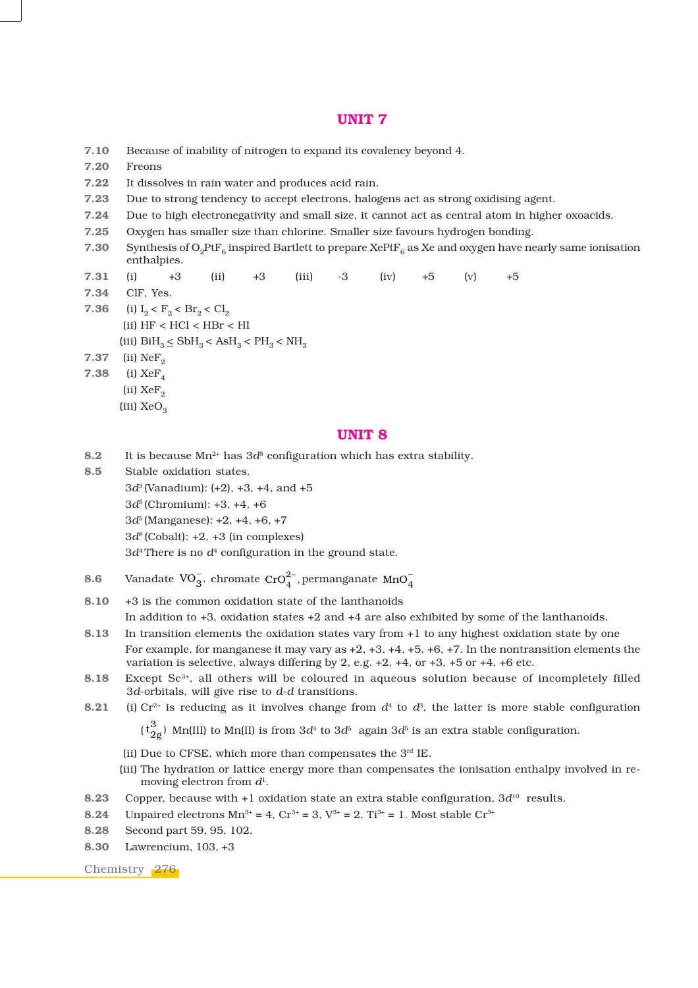## **UNIT 7**

| 7.10 |                                                                                                                                                          | Because of inability of nitrogen to expand its covalency beyond 4.                |      |      |       |      |      |      |     |      |  |  |
|------|----------------------------------------------------------------------------------------------------------------------------------------------------------|-----------------------------------------------------------------------------------|------|------|-------|------|------|------|-----|------|--|--|
| 7.20 | Freons                                                                                                                                                   |                                                                                   |      |      |       |      |      |      |     |      |  |  |
| 7.22 | It dissolves in rain water and produces acid rain.                                                                                                       |                                                                                   |      |      |       |      |      |      |     |      |  |  |
| 7.23 | Due to strong tendency to accept electrons, halogens act as strong oxidising agent.                                                                      |                                                                                   |      |      |       |      |      |      |     |      |  |  |
| 7.24 | Due to high electronegativity and small size, it cannot act as central atom in higher oxoacids.                                                          |                                                                                   |      |      |       |      |      |      |     |      |  |  |
| 7.25 | Oxygen has smaller size than chlorine. Smaller size favours hydrogen bonding.                                                                            |                                                                                   |      |      |       |      |      |      |     |      |  |  |
| 7.30 | Synthesis of O <sub>2</sub> PtF <sub>6</sub> inspired Bartlett to prepare XePtF <sub>6</sub> as Xe and oxygen have nearly same ionisation<br>enthalpies. |                                                                                   |      |      |       |      |      |      |     |      |  |  |
| 7.31 | (i)                                                                                                                                                      | $+3$                                                                              | (ii) | $+3$ | (iii) | $-3$ | (iv) | $+5$ | (v) | $+5$ |  |  |
| 7.34 | CIF, Yes.                                                                                                                                                |                                                                                   |      |      |       |      |      |      |     |      |  |  |
| 7.36 |                                                                                                                                                          | (i) $I_2 < F_2 < Br_2 < Cl_2$                                                     |      |      |       |      |      |      |     |      |  |  |
|      |                                                                                                                                                          | (ii) HF < HCl < HBr < HI                                                          |      |      |       |      |      |      |     |      |  |  |
|      |                                                                                                                                                          | (iii) $\text{BiH}_3 \leq \text{SbH}_3 < \text{AsH}_3 < \text{PH}_3 < \text{NH}_3$ |      |      |       |      |      |      |     |      |  |  |
| 7.37 | (ii) $NeF_{2}$                                                                                                                                           |                                                                                   |      |      |       |      |      |      |     |      |  |  |
| 7.38 | (i) $XeF_4$                                                                                                                                              |                                                                                   |      |      |       |      |      |      |     |      |  |  |
|      | (ii) $XeF_2$                                                                                                                                             |                                                                                   |      |      |       |      |      |      |     |      |  |  |
|      | (iii) $XeO_3$                                                                                                                                            |                                                                                   |      |      |       |      |      |      |     |      |  |  |
|      |                                                                                                                                                          |                                                                                   |      |      |       |      |      |      |     |      |  |  |

# **UNIT 8**

- **8.2** It is because  $Mn^{2+}$  has  $3d^5$  configuration which has extra stability.
- **8.5** Stable oxidation states. 3*d*3 (Vanadium): (+2), +3, +4, and +5 3*d*5 (Chromium): +3, +4, +6 3*d*5 (Manganese): +2, +4, +6, +7  $3d^8$  (Cobalt):  $+2$ ,  $+3$  (in complexes)  $3d<sup>4</sup>$  There is no  $d<sup>4</sup>$  configuration in the ground state.
- **8.6** Vanadate  $VO_3^-$ , chromate  $CrO_4^{2-}$ , permanganate  $MnO_4^-$

**8.10** +3 is the common oxidation state of the lanthanoids

In addition to +3, oxidation states +2 and +4 are also exhibited by some of the lanthanoids.

- **8.13** In transition elements the oxidation states vary from +1 to any highest oxidation state by one For example, for manganese it may vary as +2, +3, +4, +5, +6, +7. In the nontransition elements the variation is selective, always differing by 2, e.g. +2, +4, or +3, +5 or +4, +6 etc.
- 8.18 Except Sc<sup>3+</sup>, all others will be coloured in aqueous solution because of incompletely filled 3*d*-orbitals, will give rise to *d*-*d* transitions.
- **8.21** (i) Cr<sup>2+</sup> is reducing as it involves change from  $d^4$  to  $d^3$ , the latter is more stable configuration  $(t_{2g}^3)$  Mn(III) to Mn(II) is from  $3d^4$  to  $3d^5$  again  $3d^5$  is an extra stable configuration.
	-
	- (ii) Due to CFSE, which more than compensates the  $3<sup>rd</sup>$  IE.
	- (iii) The hydration or lattice energy more than compensates the ionisation enthalpy involved in removing electron from *d*1.
- **8.23** Copper, because with +1 oxidation state an extra stable configuration, 3*d*10 results.
- **8.24** Unpaired electrons  $Mn^{3+} = 4$ ,  $Cr^{3+} = 3$ ,  $V^{3+} = 2$ ,  $Ti^{3+} = 1$ . Most stable  $Cr^{3+}$
- **8.28** Second part 59, 95, 102.
- **8.30** Lawrencium, 103, +3

Chemistry 276